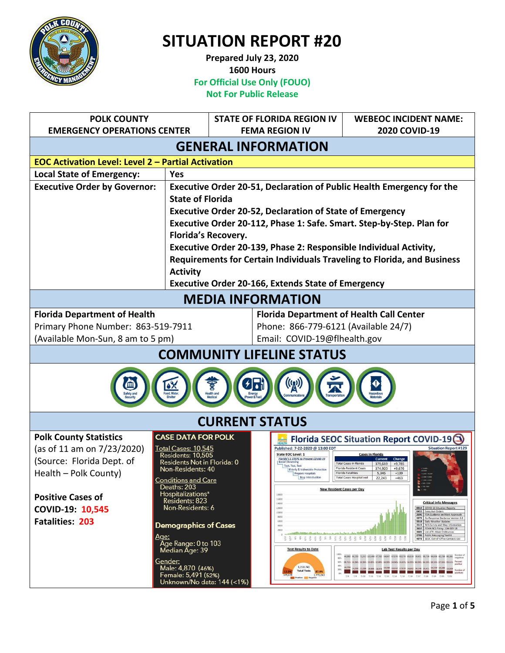

**Prepared July 23, 2020 1600 Hours For Official Use Only (FOUO) Not For Public Release**

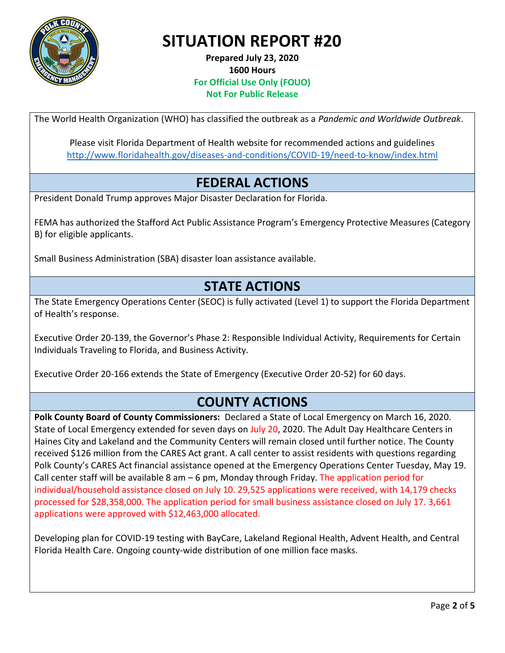

**Prepared July 23, 2020 1600 Hours For Official Use Only (FOUO) Not For Public Release**

The World Health Organization (WHO) has classified the outbreak as a *Pandemic and Worldwide Outbreak*.

Please visit Florida Department of Health website for recommended actions and guidelines <http://www.floridahealth.gov/diseases-and-conditions/COVID-19/need-to-know/index.html>

### **FEDERAL ACTIONS**

President Donald Trump approves Major Disaster Declaration for Florida.

FEMA has authorized the Stafford Act Public Assistance Program's Emergency Protective Measures (Category B) for eligible applicants.

Small Business Administration (SBA) disaster loan assistance available.

### **STATE ACTIONS**

The State Emergency Operations Center (SEOC) is fully activated (Level 1) to support the Florida Department of Health's response.

Executive Order 20-139, the Governor's Phase 2: Responsible Individual Activity, Requirements for Certain Individuals Traveling to Florida, and Business Activity.

Executive Order 20-166 extends the State of Emergency (Executive Order 20-52) for 60 days.

### **COUNTY ACTIONS**

**Polk County Board of County Commissioners:** Declared a State of Local Emergency on March 16, 2020. State of Local Emergency extended for seven days on July 20, 2020. The Adult Day Healthcare Centers in Haines City and Lakeland and the Community Centers will remain closed until further notice. The County received \$126 million from the CARES Act grant. A call center to assist residents with questions regarding Polk County's CARES Act financial assistance opened at the Emergency Operations Center Tuesday, May 19. Call center staff will be available 8 am  $-6$  pm, Monday through Friday. The application period for individual/household assistance closed on July 10. 29,525 applications were received, with 14,179 checks processed for \$28,358,000. The application period for small business assistance closed on July 17. 3,661 applications were approved with \$12,463,000 allocated.

Developing plan for COVID-19 testing with BayCare, Lakeland Regional Health, Advent Health, and Central Florida Health Care. Ongoing county-wide distribution of one million face masks.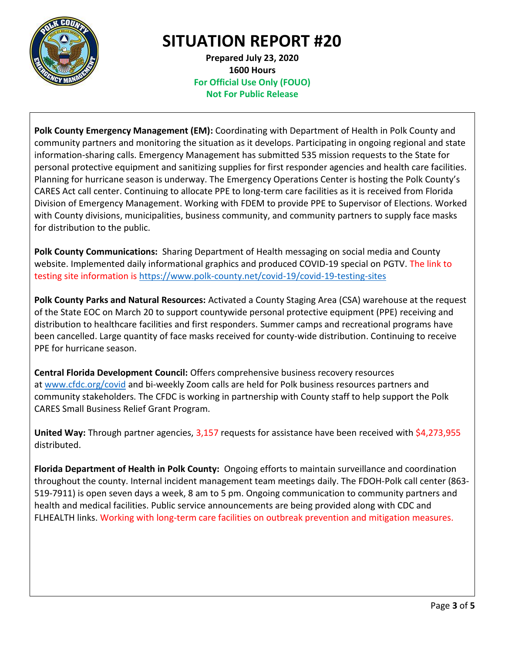

**Prepared July 23, 2020 1600 Hours For Official Use Only (FOUO) Not For Public Release**

**Polk County Emergency Management (EM):** Coordinating with Department of Health in Polk County and community partners and monitoring the situation as it develops. Participating in ongoing regional and state information-sharing calls. Emergency Management has submitted 535 mission requests to the State for personal protective equipment and sanitizing supplies for first responder agencies and health care facilities. Planning for hurricane season is underway. The Emergency Operations Center is hosting the Polk County's CARES Act call center. Continuing to allocate PPE to long-term care facilities as it is received from Florida Division of Emergency Management. Working with FDEM to provide PPE to Supervisor of Elections. Worked with County divisions, municipalities, business community, and community partners to supply face masks for distribution to the public.

**Polk County Communications:** Sharing Department of Health messaging on social media and County website. Implemented daily informational graphics and produced COVID-19 special on PGTV. The link to testing site information is<https://www.polk-county.net/covid-19/covid-19-testing-sites>

**Polk County Parks and Natural Resources:** Activated a County Staging Area (CSA) warehouse at the request of the State EOC on March 20 to support countywide personal protective equipment (PPE) receiving and distribution to healthcare facilities and first responders. Summer camps and recreational programs have been cancelled. Large quantity of face masks received for county-wide distribution. Continuing to receive PPE for hurricane season.

**Central Florida Development Council:** Offers comprehensive business recovery resources at [www.cfdc.org/covid](https://urldefense.proofpoint.com/v2/url?u=http-3A__www.cfdc.org_covid&d=DwMGaQ&c=j9YNQVTYIohH8cYE_3mLmw&r=Mem67UZSoF1wr41vVOV5uIT1lucQyBqiSflEqnkSjjU&m=PVssB6GLzdUoRgntrf3e2vUAIOtng6SVWvip0niqP3k&s=6En2z3nkAdsW7kdwLSUVeWJZfhhgb8gyPfjexruPO_c&e=) and bi-weekly Zoom calls are held for Polk business resources partners and community stakeholders. The CFDC is working in partnership with County staff to help support the Polk CARES Small Business Relief Grant Program.

**United Way:** Through partner agencies, 3,157 requests for assistance have been received with \$4,273,955 distributed.

**Florida Department of Health in Polk County:** Ongoing efforts to maintain surveillance and coordination throughout the county. Internal incident management team meetings daily. The FDOH-Polk call center (863- 519-7911) is open seven days a week, 8 am to 5 pm. Ongoing communication to community partners and health and medical facilities. Public service announcements are being provided along with CDC and FLHEALTH links. Working with long-term care facilities on outbreak prevention and mitigation measures.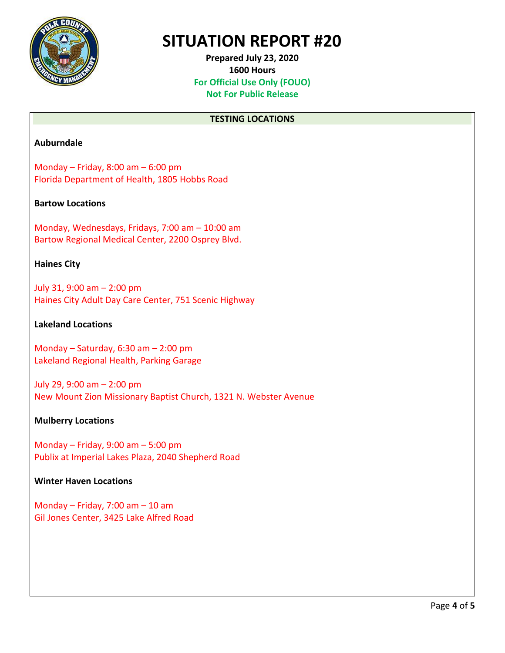

**Prepared July 23, 2020 1600 Hours For Official Use Only (FOUO) Not For Public Release**

#### **TESTING LOCATIONS**

#### **Auburndale**

Monday – Friday, 8:00 am – 6:00 pm Florida Department of Health, 1805 Hobbs Road

#### **Bartow Locations**

Monday, Wednesdays, Fridays, 7:00 am – 10:00 am Bartow Regional Medical Center, 2200 Osprey Blvd.

#### **Haines City**

July 31, 9:00 am – 2:00 pm Haines City Adult Day Care Center, 751 Scenic Highway

#### **Lakeland Locations**

Monday – Saturday, 6:30 am – 2:00 pm Lakeland Regional Health, Parking Garage

July 29, 9:00 am – 2:00 pm New Mount Zion Missionary Baptist Church, 1321 N. Webster Avenue

#### **Mulberry Locations**

Monday – Friday, 9:00 am – 5:00 pm Publix at Imperial Lakes Plaza, 2040 Shepherd Road

#### **Winter Haven Locations**

Monday – Friday, 7:00 am – 10 am Gil Jones Center, 3425 Lake Alfred Road